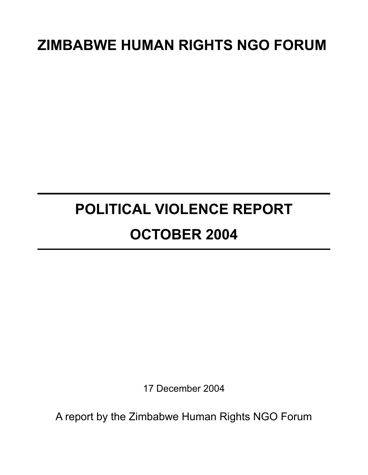# **ZIMBABWE HUMAN RIGHTS NGO FORUM**

# **POLITICAL VIOLENCE REPORT OCTOBER 2004**

17 December 2004

A report by the Zimbabwe Human Rights NGO Forum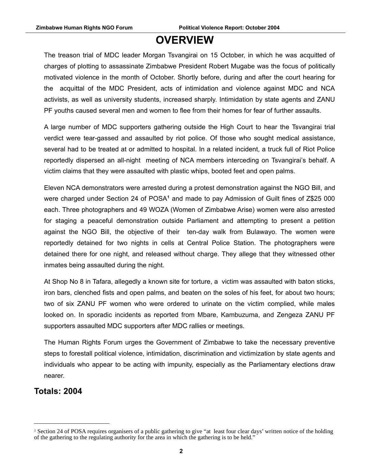# **OVERVIEW**

The treason trial of MDC leader Morgan Tsvangirai on 15 October, in which he was acquitted of charges of plotting to assassinate Zimbabwe President Robert Mugabe was the focus of politically motivated violence in the month of October. Shortly before, during and after the court hearing for the acquittal of the MDC President, acts of intimidation and violence against MDC and NCA activists, as well as university students, increased sharply. Intimidation by state agents and ZANU PF youths caused several men and women to flee from their homes for fear of further assaults.

A large number of MDC supporters gathering outside the High Court to hear the Tsvangirai trial verdict were tear-gassed and assaulted by riot police. Of those who sought medical assistance, several had to be treated at or admitted to hospital. In a related incident, a truck full of Riot Police reportedly dispersed an all-night meeting of NCA members interceding on Tsvangirai's behalf. A victim claims that they were assaulted with plastic whips, booted feet and open palms.

Eleven NCA demonstrators were arrested during a protest demonstration against the NGO Bill, and were charged under Section 24 of POSA<sup>[1](#page-1-0)</sup> and made to pay Admission of Guilt fines of Z\$25 000 each. Three photographers and 49 WOZA (Women of Zimbabwe Arise) women were also arrested for staging a peaceful demonstration outside Parliament and attempting to present a petition against the NGO Bill, the objective of their ten-day walk from Bulawayo. The women were reportedly detained for two nights in cells at Central Police Station. The photographers were detained there for one night, and released without charge. They allege that they witnessed other inmates being assaulted during the night.

At Shop No 8 in Tafara, allegedly a known site for torture, a victim was assaulted with baton sticks, iron bars, clenched fists and open palms, and beaten on the soles of his feet, for about two hours; two of six ZANU PF women who were ordered to urinate on the victim complied, while males looked on. In sporadic incidents as reported from Mbare, Kambuzuma, and Zengeza ZANU PF supporters assaulted MDC supporters after MDC rallies or meetings.

The Human Rights Forum urges the Government of Zimbabwe to take the necessary preventive steps to forestall political violence, intimidation, discrimination and victimization by state agents and individuals who appear to be acting with impunity, especially as the Parliamentary elections draw nearer.

### **Totals: 2004**

<span id="page-1-0"></span><sup>&</sup>lt;sup>1</sup> Section 24 of POSA requires organisers of a public gathering to give "at least four clear days' written notice of the holding of the gathering to the regulating authority for the area in which the gathering is to be held."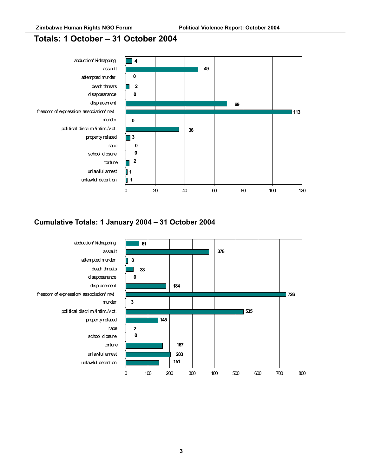### **Totals: 1 October – 31 October 2004**



### **Cumulative Totals: 1 January 2004 – 31 October 2004**

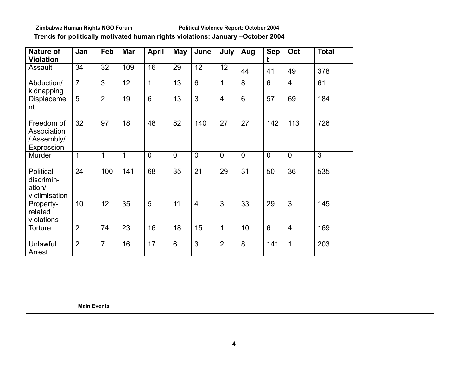### **Trends for politically motivated human rights violations: January –October 2004**

| <b>Nature of</b><br><b>Violation</b>                  | Jan            | Feb            | <b>Mar</b>      | <b>April</b>   | May             | June            | July           | Aug            | <b>Sep</b><br>t | Oct            | <b>Total</b>   |
|-------------------------------------------------------|----------------|----------------|-----------------|----------------|-----------------|-----------------|----------------|----------------|-----------------|----------------|----------------|
| Assault                                               | 34             | 32             | 109             | 16             | 29              | 12              | 12             | 44             | 41              | 49             | 378            |
| Abduction/<br>kidnapping                              | $\overline{7}$ | $\overline{3}$ | 12              | $\mathbf{1}$   | 13              | $6\overline{6}$ | 1              | 8              | $6\overline{6}$ | $\overline{4}$ | 61             |
| Displaceme<br>nt                                      | $\overline{5}$ | $\overline{2}$ | $\overline{19}$ | $\overline{6}$ | $\overline{13}$ | $\overline{3}$  | $\overline{4}$ | $\overline{6}$ | $\overline{57}$ | 69             | 184            |
| Freedom of<br>Association<br>/Assembly/<br>Expression | 32             | 97             | 18              | 48             | 82              | 140             | 27             | 27             | 142             | 113            | 726            |
| Murder                                                | $\mathbf 1$    | 1              | $\overline{1}$  | $\overline{0}$ | $\overline{0}$  | $\overline{0}$  | $\overline{0}$ | $\overline{0}$ | $\overline{0}$  | $\overline{0}$ | $\overline{3}$ |
| Political<br>discrimin-<br>ation/<br>victimisation    | 24             | 100            | 141             | 68             | 35              | 21              | 29             | 31             | 50              | 36             | 535            |
| Property-<br>related<br>violations                    | 10             | 12             | 35              | $\overline{5}$ | 11              | $\overline{4}$  | $\overline{3}$ | 33             | 29              | $\overline{3}$ | 145            |
| Torture                                               | $\overline{2}$ | 74             | 23              | 16             | 18              | 15              | 1              | 10             | $6\overline{6}$ | $\overline{4}$ | 169            |
| Unlawful<br>Arrest                                    | 2              | $\overline{7}$ | 16              | 17             | $6\phantom{1}$  | $\overline{3}$  | $\overline{2}$ | 8              | 141             | 1              | 203            |

**Main Events**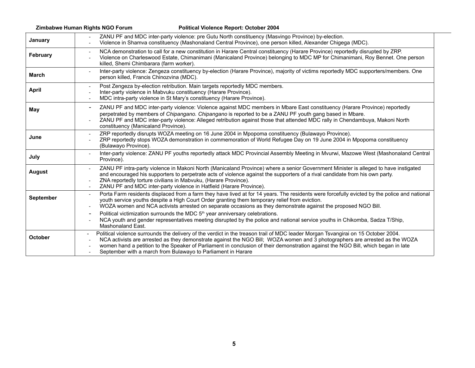#### **Zimbabwe Human Rights NGO Forum Political Violence Report: October 2004**

| January          | ZANU PF and MDC inter-party violence: pre Gutu North constituency (Masvingo Province) by-election.<br>Violence in Shamva constituency (Mashonaland Central Province), one person killed, Alexander Chigega (MDC).                                                                                                                                                                                                                                                                        |
|------------------|------------------------------------------------------------------------------------------------------------------------------------------------------------------------------------------------------------------------------------------------------------------------------------------------------------------------------------------------------------------------------------------------------------------------------------------------------------------------------------------|
| February         | NCA demonstration to call for a new constitution in Harare Central constituency (Harare Province) reportedly disrupted by ZRP.<br>Violence on Charleswood Estate, Chimanimani (Manicaland Province) belonging to MDC MP for Chimanimani, Roy Bennet. One person<br>killed, Shemi Chimbarara (farm worker).                                                                                                                                                                               |
| <b>March</b>     | Inter-party violence: Zengeza constituency by-election (Harare Province), majority of victims reportedly MDC supporters/members. One<br>person killed, Francis Chinozvina (MDC).                                                                                                                                                                                                                                                                                                         |
| <b>April</b>     | Post Zengeza by-election retribution. Main targets reportedly MDC members.<br>Inter-party violence in Mabvuku constituency (Harare Province).<br>MDC intra-party violence in St Mary's constituency (Harare Province).                                                                                                                                                                                                                                                                   |
| May              | ZANU PF and MDC inter-party violence: Violence against MDC members in Mbare East constituency (Harare Province) reportedly<br>$\blacksquare$<br>perpetrated by members of Chipangano. Chipangano is reported to be a ZANU PF youth gang based in Mbare.<br>ZANU PF and MDC inter-party violence: Alleged retribution against those that attended MDC rally in Chendambuya, Makoni North<br>constituency (Manicaland Province).                                                           |
| June             | ZRP reportedly disrupts WOZA meeting on 16 June 2004 in Mpopoma constituency (Bulawayo Province).<br>ZRP reportedly stops WOZA demonstration in commemoration of World Refugee Day on 19 June 2004 in Mpopoma constituency<br>(Bulawayo Province).                                                                                                                                                                                                                                       |
| July             | Inter-party violence: ZANU PF youths reportedly attack MDC Provincial Assembly Meeting in Mvurwi, Mazowe West (Mashonaland Central<br>Province).                                                                                                                                                                                                                                                                                                                                         |
| <b>August</b>    | ZANU PF intra-party violence in Makoni North (Manicaland Province) where a senior Government Minister is alleged to have instigated<br>and encouraged his supporters to perpetrate acts of violence against the supporters of a rival candidate from his own party.<br>ZNA reportedly torture civilians in Mabvuku, (Harare Province).<br>ZANU PF and MDC inter-party violence in Hatfield (Harare Province).                                                                            |
| <b>September</b> | Porta Farm residents displaced from a farm they have lived at for 14 years. The residents were forcefully evicted by the police and national<br>$\overline{\phantom{a}}$<br>youth service youths despite a High Court Order granting them temporary relief from eviction.<br>WOZA women and NCA activists arrested on separate occasions as they demonstrate against the proposed NGO Bill.                                                                                              |
|                  | Political victimization surrounds the MDC 5 <sup>th</sup> year anniversary celebrations.<br>NCA youth and gender representatives meeting disrupted by the police and national service youths in Chikomba, Sadza T/Ship,<br>Mashonaland East.                                                                                                                                                                                                                                             |
| October          | Political violence surrounds the delivery of the verdict in the treason trail of MDC leader Morgan Tsvangirai on 15 October 2004.<br>$\blacksquare$<br>NCA activists are arrested as they demonstrate against the NGO Bill; WOZA women and 3 photographers are arrested as the WOZA<br>women hand a petition to the Speaker of Parliament in conclusion of their demonstration against the NGO Bill, which began in late<br>September with a march from Bulawayo to Parliament in Harare |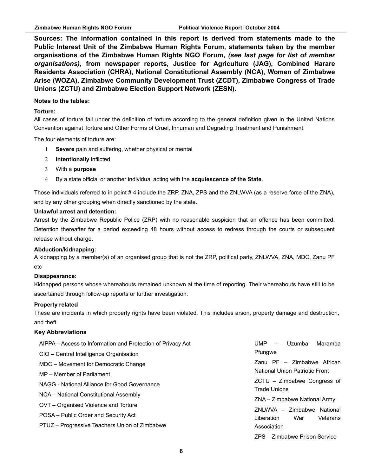**Sources: The information contained in this report is derived from statements made to the Public Interest Unit of the Zimbabwe Human Rights Forum, statements taken by the member organisations of the Zimbabwe Human Rights NGO Forum,** *(see last page for list of member organisations),* **from newspaper reports, Justice for Agriculture (JAG), Combined Harare Residents Association (CHRA), National Constitutional Assembly (NCA), Women of Zimbabwe Arise (WOZA), Zimbabwe Community Development Trust (ZCDT), Zimbabwe Congress of Trade Unions (ZCTU) and Zimbabwe Election Support Network (ZESN).**

#### **Notes to the tables:**

#### **Torture:**

All cases of torture fall under the definition of torture according to the general definition given in the United Nations Convention against Torture and Other Forms of Cruel, Inhuman and Degrading Treatment and Punishment.

The four elements of torture are:

- 1 **Severe** pain and suffering, whether physical or mental
- 2 **Intentionally** inflicted
- 3 With a **purpose**
- 4 By a state official or another individual acting with the **acquiescence of the State**.

Those individuals referred to in point # 4 include the ZRP, ZNA, ZPS and the ZNLWVA (as a reserve force of the ZNA), and by any other grouping when directly sanctioned by the state.

#### **Unlawful arrest and detention:**

Arrest by the Zimbabwe Republic Police (ZRP) with no reasonable suspicion that an offence has been committed. Detention thereafter for a period exceeding 48 hours without access to redress through the courts or subsequent release without charge.

#### **Abduction/kidnapping:**

A kidnapping by a member(s) of an organised group that is not the ZRP, political party, ZNLWVA, ZNA, MDC, Zanu PF etc

#### **Disappearance:**

Kidnapped persons whose whereabouts remained unknown at the time of reporting. Their whereabouts have still to be ascertained through follow-up reports or further investigation.

#### **Property related**

These are incidents in which property rights have been violated. This includes arson, property damage and destruction, and theft.

#### **Key Abbreviations**

| AIPPA – Access to Information and Protection of Privacy Act | UMP<br>Uzumba<br>Maramba<br>$\overline{\phantom{0}}$<br>Pfungwe                                            |  |  |  |
|-------------------------------------------------------------|------------------------------------------------------------------------------------------------------------|--|--|--|
| CIO - Central Intelligence Organisation                     |                                                                                                            |  |  |  |
| MDC - Movement for Democratic Change                        | Zanu PF - Zimbabwe African                                                                                 |  |  |  |
| MP – Member of Parliament                                   | National Union Patriotic Front                                                                             |  |  |  |
| NAGG - National Alliance for Good Governance                | $ZCTU - Zimbabwe$ Congress of<br><b>Trade Unions</b>                                                       |  |  |  |
| NCA - National Constitutional Assembly                      | ZNA – Zimbabwe National Army<br>ZNLWVA - Zimbabwe National<br>Liberation<br>War<br>Veterans<br>Association |  |  |  |
| OVT – Organised Violence and Torture                        |                                                                                                            |  |  |  |
| POSA - Public Order and Security Act                        |                                                                                                            |  |  |  |
| PTUZ - Progressive Teachers Union of Zimbabwe               |                                                                                                            |  |  |  |
|                                                             | ZPS - Zimbabwe Prison Service                                                                              |  |  |  |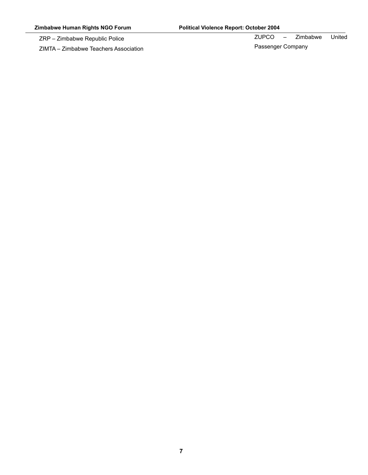ZRP – Zimbabwe Republic Police

ZIMTA – Zimbabwe Teachers Association

ZUPCO – Zimbabwe United

Passenger Company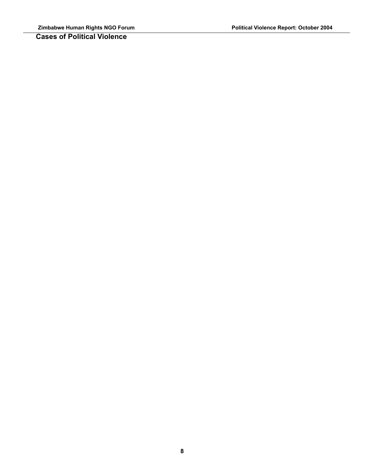**Cases of Political Violence** 

**8**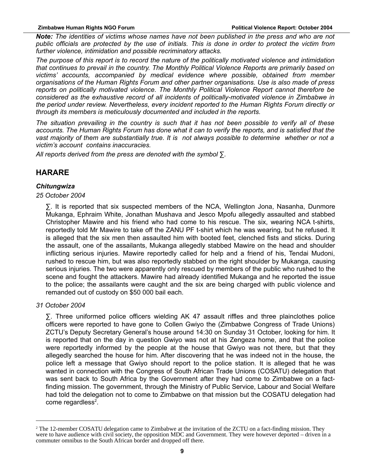*Note: The identities of victims whose names have not been published in the press and who are not public officials are protected by the use of initials. This is done in order to protect the victim from further violence, intimidation and possible recriminatory attacks.*

*The purpose of this report is to record the nature of the politically motivated violence and intimidation that continues to prevail in the country. The Monthly Political Violence Reports are primarily based on victims' accounts, accompanied by medical evidence where possible, obtained from member organisations of the Human Rights Forum and other partner organisations. Use is also made of press reports on politically motivated violence. The Monthly Political Violence Report cannot therefore be considered as the exhaustive record of all incidents of politically-motivated violence in Zimbabwe in the period under review. Nevertheless, every incident reported to the Human Rights Forum directly or through its members is meticulously documented and included in the reports.*

*The situation prevailing in the country is such that it has not been possible to verify all of these accounts. The Human Rights Forum has done what it can to verify the reports, and is satisfied that the vast majority of them are substantially true. It is not always possible to determine whether or not a victim's account contains inaccuracies.*

*All reports derived from the press are denoted with the symbol* ∑*.*

### **HARARE**

#### *Chitungwiza*

#### *25 October 2004*

∑. It is reported that six suspected members of the NCA, Wellington Jona, Nasanha, Dunmore Mukanga, Ephraim White, Jonathan Mushava and Jesco Mpofu allegedly assaulted and stabbed Christopher Mawire and his friend who had come to his rescue. The six, wearing NCA t-shirts, reportedly told Mr Mawire to take off the ZANU PF t-shirt which he was wearing, but he refused. It is alleged that the six men then assaulted him with booted feet, clenched fists and sticks. During the assault, one of the assailants, Mukanga allegedly stabbed Mawire on the head and shoulder inflicting serious injuries. Mawire reportedly called for help and a friend of his, Tendai Mudoni, rushed to rescue him, but was also reportedly stabbed on the right shoulder by Mukanga, causing serious injuries. The two were apparently only rescued by members of the public who rushed to the scene and fought the attackers. Mawire had already identified Mukanga and he reported the issue to the police; the assailants were caught and the six are being charged with public violence and remanded out of custody on \$50 000 bail each.

#### *31 October 2004*

∑. Three uniformed police officers wielding AK 47 assault riffles and three plainclothes police officers were reported to have gone to Collen Gwiyo the (Zimbabwe Congress of Trade Unions) ZCTU's Deputy Secretary General's house around 14:30 on Sunday 31 October, looking for him. It is reported that on the day in question Gwiyo was not at his Zengeza home, and that the police were reportedly informed by the people at the house that Gwiyo was not there, but that they allegedly searched the house for him. After discovering that he was indeed not in the house, the police left a message that Gwiyo should report to the police station. It is alleged that he was wanted in connection with the Congress of South African Trade Unions (COSATU) delegation that was sent back to South Africa by the Government after they had come to Zimbabwe on a factfinding mission. The government, through the Ministry of Public Service, Labour and Social Welfare had told the delegation not to come to Zimbabwe on that mission but the COSATU delegation had come regardless<sup>[2](#page-8-0)</sup>.

<span id="page-8-0"></span><sup>&</sup>lt;sup>2</sup> The 12-member COSATU delegation came to Zimbabwe at the invitation of the ZCTU on a fact-finding mission. They were to have audience with civil society, the opposition MDC and Government. They were however deported – driven in a commuter omnibus to the South African border and dropped off there.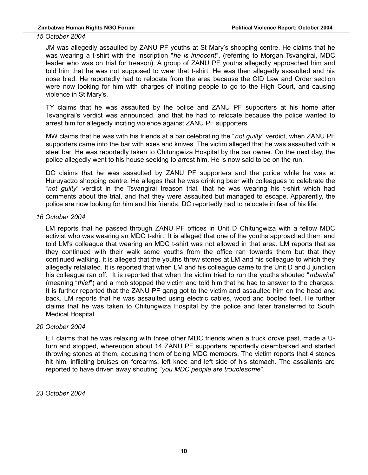*15 October 2004*

JM was allegedly assaulted by ZANU PF youths at St Mary's shopping centre. He claims that he was wearing a t-shirt with the inscription "*he is innocent*", (referring to Morgan Tsvangirai, MDC leader who was on trial for treason). A group of ZANU PF youths allegedly approached him and told him that he was not supposed to wear that t-shirt. He was then allegedly assaulted and his nose bled. He reportedly had to relocate from the area because the CID Law and Order section were now looking for him with charges of inciting people to go to the High Court, and causing violence in St Mary's.

TY claims that he was assaulted by the police and ZANU PF supporters at his home after Tsvangirai's verdict was announced, and that he had to relocate because the police wanted to arrest him for allegedly inciting violence against ZANU PF supporters.

MW claims that he was with his friends at a bar celebrating the "*not guilty"* verdict, when ZANU PF supporters came into the bar with axes and knives. The victim alleged that he was assaulted with a steel bar. He was reportedly taken to Chitungwiza Hospital by the bar owner. On the next day, the police allegedly went to his house seeking to arrest him. He is now said to be on the run.

DC claims that he was assaulted by ZANU PF supporters and the police while he was at Huruyadzo shopping centre. He alleges that he was drinking beer with colleagues to celebrate the "*not guilty*" verdict in the Tsvangirai treason trial, that he was wearing his t-shirt which had comments about the trial, and that they were assaulted but managed to escape. Apparently, the police are now looking for him and his friends. DC reportedly had to relocate in fear of his life.

#### *16 October 2004*

LM reports that he passed through ZANU PF offices in Unit D Chitungwiza with a fellow MDC activist who was wearing an MDC t-shirt. It is alleged that one of the youths approached them and told LM's colleague that wearing an MDC t-shirt was not allowed in that area. LM reports that as they continued with their walk some youths from the office ran towards them but that they continued walking. It is alleged that the youths threw stones at LM and his colleague to which they allegedly retaliated. It is reported that when LM and his colleague came to the Unit D and J junction his colleague ran off. It is reported that when the victim tried to run the youths shouted "*mbavha*" (meaning "*thief*") and a mob stopped the victim and told him that he had to answer to the charges. It is further reported that the ZANU PF gang got to the victim and assaulted him on the head and back. LM reports that he was assaulted using electric cables, wood and booted feet. He further claims that he was taken to Chitungwiza Hospital by the police and later transferred to South Medical Hospital.

#### *20 October 2004*

ET claims that he was relaxing with three other MDC friends when a truck drove past, made a Uturn and stopped, whereupon about 14 ZANU PF supporters reportedly disembarked and started throwing stones at them, accusing them of being MDC members. The victim reports that 4 stones hit him, inflicting bruises on forearms, left knee and left side of his stomach. The assailants are reported to have driven away shouting "*you MDC people are troublesome*".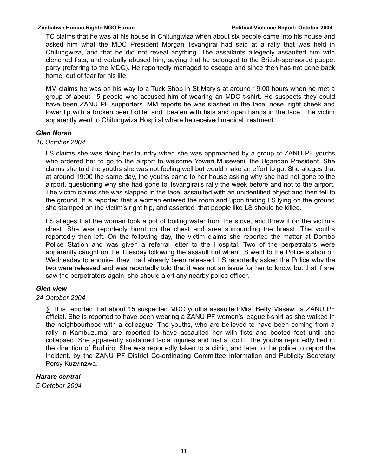TC claims that he was at his house in Chitungwiza when about six people came into his house and asked him what the MDC President Morgan Tsvangirai had said at a rally that was held in Chitungwiza, and that he did not reveal anything. The assailants allegedly assaulted him with clenched fists, and verbally abused him, saying that he belonged to the British-sponsored puppet party (referring to the MDC). He reportedly managed to escape and since then has not gone back home, out of fear for his life.

MM claims he was on his way to a Tuck Shop in St Mary's at around 19:00 hours when he met a group of about 15 people who accused him of wearing an MDC t-shirt. He suspects they could have been ZANU PF supporters. MM reports he was slashed in the face, nose, right cheek and lower lip with a broken beer bottle, and beaten with fists and open hands in the face. The victim apparently went to Chitungwiza Hospital where he received medical treatment.

#### *Glen Norah*

#### *10 October 2004*

LS claims she was doing her laundry when she was approached by a group of ZANU PF youths who ordered her to go to the airport to welcome Yoweri Museveni, the Ugandan President. She claims she told the youths she was not feeling well but would make an effort to go. She alleges that at around 19:00 the same day, the youths came to her house asking why she had not gone to the airport, questioning why she had gone to Tsvangirai's rally the week before and not to the airport. The victim claims she was slapped in the face, assaulted with an unidentified object and then fell to the ground. It is reported that a woman entered the room and upon finding LS lying on the ground she stamped on the victim's right hip, and asserted that people like LS should be killed.

LS alleges that the woman took a pot of boiling water from the stove, and threw it on the victim's chest. She was reportedly burnt on the chest and area surrounding the breast. The youths reportedly then left. On the following day, the victim claims she reported the matter at Dombo Police Station and was given a referral letter to the Hospital. Two of the perpetrators were apparently caught on the Tuesday following the assault but when LS went to the Police station on Wednesday to enquire, they had already been released. LS reportedly asked the Police why the two were released and was reportedly told that it was not an issue for her to know, but that if she saw the perpetrators again, she should alert any nearby police officer.

#### *Glen view*

#### *24 October 2004*

∑. It is reported that about 15 suspected MDC youths assaulted Mrs. Betty Masawi, a ZANU PF official. She is reported to have been wearing a ZANU PF women's league t-shirt as she walked in the neighbourhood with a colleague. The youths, who are believed to have been coming from a rally in Kambuzuma, are reported to have assaulted her with fists and booted feet until she collapsed. She apparently sustained facial injuries and lost a tooth. The youths reportedly fled in the direction of Budiriro. She was reportedly taken to a clinic, and later to the police to report the incident, by the ZANU PF District Co-ordinating Committee Information and Publicity Secretary Persy Kuzvinzwa.

#### *Harare central*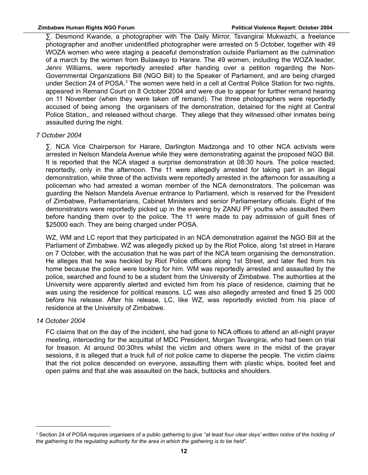∑. Desmond Kwande, a photographer with The Daily Mirror, Tsvangirai Mukwazhi, a freelance photographer and another unidentified photographer were arrested on 5 October, together with 49 WOZA women who were staging a peaceful demonstration outside Parliament as the culmination of a march by the women from Bulawayo to Harare. The 49 women, including the WOZA leader, Jenni Williams, were reportedly arrested after handing over a petition regarding the Non-Governmental Organizations Bill (NGO Bill) to the Speaker of Parliament, and are being charged under Section 24 of POSA.<sup>[3](#page-11-0)</sup> The women were held in a cell at Central Police Station for two nights, appeared in Remand Court on 8 October 2004 and were due to appear for further remand hearing on 11 November (when they were taken off remand). The three photographers were reportedly accused of being among the organisers of the demonstration, detained for the night at Central Police Station,, and released without charge. They allege that they witnessed other inmates being assaulted during the night.

#### *7 October 2004*

∑. NCA Vice Chairperson for Harare, Darlington Madzonga and 10 other NCA activists were arrested in Nelson Mandela Avenue while they were demonstrating against the proposed NGO Bill. It is reported that the NCA staged a surprise demonstration at 08:30 hours. The police reacted, reportedly, only in the afternoon. The 11 were allegedly arrested for taking part in an illegal demonstration, while three of the activists were reportedly arrested in the afternoon for assaulting a policeman who had arrested a woman member of the NCA demonstrators. The policeman was guarding the Nelson Mandela Avenue entrance to Parliament, which is reserved for the President of Zimbabwe, Parliamentarians, Cabinet Ministers and senior Parliamentary officials. Eight of the demonstrators were reportedly picked up in the evening by ZANU PF youths who assaulted them before handing them over to the police. The 11 were made to pay admission of guilt fines of \$25000 each. They are being charged under POSA.

WZ, WM and LC report that they participated in an NCA demonstration against the NGO Bill at the Parliament of Zimbabwe. WZ was allegedly picked up by the Riot Police, along 1st street in Harare on 7 October, with the accusation that he was part of the NCA team organising the demonstration. He alleges that he was heckled by Riot Police officers along 1st Street, and later fled from his home because the police were looking for him. WM was reportedly arrested and assaulted by the police, searched and found to be a student from the University of Zimbabwe. The authorities at the University were apparently alerted and evicted him from his place of residence, claiming that he was using the residence for political reasons. LC was also allegedly arrested and fined \$ 25 000 before his release. After his release, LC, like WZ, was reportedly evicted from his place of residence at the University of Zimbabwe.

#### *14 October 2004*

FC claims that on the day of the incident, she had gone to NCA offices to attend an all-night prayer meeting, interceding for the acquittal of MDC President, Morgan Tsvangirai, who had been on trial for treason. At around 00:30hrs whilst the victim and others were in the midst of the prayer sessions, it is alleged that a truck full of riot police came to disperse the people. The victim claims that the riot police descended on everyone, assaulting them with plastic whips, booted feet and open palms and that she was assaulted on the back, buttocks and shoulders.

<span id="page-11-0"></span><sup>3</sup> Section 24 of POSA requires organisers of a public gathering to give *"at least four clear days' written notice of the holding of the gathering to the regulating authority for the area in which the gathering is to be held".*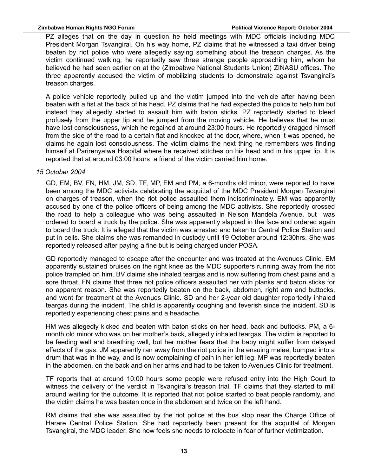PZ alleges that on the day in question he held meetings with MDC officials including MDC President Morgan Tsvangirai. On his way home, PZ claims that he witnessed a taxi driver being beaten by riot police who were allegedly saying something about the treason charges. As the victim continued walking, he reportedly saw three strange people approaching him, whom he believed he had seen earlier on at the (Zimbabwe National Students Union) ZINASU offices. The three apparently accused the victim of mobilizing students to demonstrate against Tsvangirai's treason charges.

A police vehicle reportedly pulled up and the victim jumped into the vehicle after having been beaten with a fist at the back of his head. PZ claims that he had expected the police to help him but instead they allegedly started to assault him with baton sticks. PZ reportedly started to bleed profusely from the upper lip and he jumped from the moving vehicle. He believes that he must have lost consciousness, which he regained at around 23:00 hours. He reportedly dragged himself from the side of the road to a certain flat and knocked at the door, where, when it was opened, he claims he again lost consciousness. The victim claims the next thing he remembers was finding himself at Parirenyatwa Hospital where he received stitches on his head and in his upper lip. It is reported that at around 03:00 hours a friend of the victim carried him home.

#### *15 October 2004*

GD, EM, BV, FN, HM, JM, SD, TF, MP, EM and PM, a 6-months old minor, were reported to have been among the MDC activists celebrating the acquittal of the MDC President Morgan Tsvangirai on charges of treason, when the riot police assaulted them indiscriminately. EM was apparently accused by one of the police officers of being among the MDC activists. She reportedly crossed the road to help a colleague who was being assaulted in Nelson Mandela Avenue, but was ordered to board a truck by the police. She was apparently slapped in the face and ordered again to board the truck. It is alleged that the victim was arrested and taken to Central Police Station and put in cells. She claims she was remanded in custody until 19 October around 12:30hrs. She was reportedly released after paying a fine but is being charged under POSA.

GD reportedly managed to escape after the encounter and was treated at the Avenues Clinic. EM apparently sustained bruises on the right knee as the MDC supporters running away from the riot police trampled on him. BV claims she inhaled teargas and is now suffering from chest pains and a sore throat. FN claims that three riot police officers assaulted her with planks and baton sticks for no apparent reason. She was reportedly beaten on the back, abdomen, right arm and buttocks, and went for treatment at the Avenues Clinic. SD and her 2-year old daughter reportedly inhaled teargas during the incident. The child is apparently coughing and feverish since the incident. SD is reportedly experiencing chest pains and a headache.

HM was allegedly kicked and beaten with baton sticks on her head, back and buttocks. PM, a 6 month old minor who was on her mother's back, allegedly inhaled teargas. The victim is reported to be feeding well and breathing well, but her mother fears that the baby might suffer from delayed effects of the gas. JM apparently ran away from the riot police in the ensuing melee, bumped into a drum that was in the way, and is now complaining of pain in her left leg. MP was reportedly beaten in the abdomen, on the back and on her arms and had to be taken to Avenues Clinic for treatment.

TF reports that at around 10:00 hours some people were refused entry into the High Court to witness the delivery of the verdict in Tsvangirai's treason trial. TF claims that they started to mill around waiting for the outcome. It is reported that riot police started to beat people randomly, and the victim claims he was beaten once in the abdomen and twice on the left hand.

RM claims that she was assaulted by the riot police at the bus stop near the Charge Office of Harare Central Police Station. She had reportedly been present for the acquittal of Morgan Tsvangirai, the MDC leader. She now feels she needs to relocate in fear of further victimization.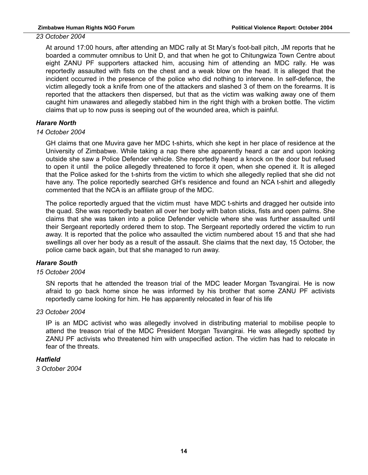#### *23 October 2004*

At around 17:00 hours, after attending an MDC rally at St Mary's foot-ball pitch, JM reports that he boarded a commuter omnibus to Unit D, and that when he got to Chitungwiza Town Centre about eight ZANU PF supporters attacked him, accusing him of attending an MDC rally. He was reportedly assaulted with fists on the chest and a weak blow on the head. It is alleged that the incident occurred in the presence of the police who did nothing to intervene. In self-defence, the victim allegedly took a knife from one of the attackers and slashed 3 of them on the forearms. It is reported that the attackers then dispersed, but that as the victim was walking away one of them caught him unawares and allegedly stabbed him in the right thigh with a broken bottle. The victim claims that up to now puss is seeping out of the wounded area, which is painful.

#### *Harare North*

#### *14 October 2004*

GH claims that one Muvira gave her MDC t-shirts, which she kept in her place of residence at the University of Zimbabwe. While taking a nap there she apparently heard a car and upon looking outside she saw a Police Defender vehicle. She reportedly heard a knock on the door but refused to open it until the police allegedly threatened to force it open, when she opened it. It is alleged that the Police asked for the t-shirts from the victim to which she allegedly replied that she did not have any. The police reportedly searched GH's residence and found an NCA t-shirt and allegedly commented that the NCA is an affiliate group of the MDC.

The police reportedly argued that the victim must have MDC t-shirts and dragged her outside into the quad. She was reportedly beaten all over her body with baton sticks, fists and open palms. She claims that she was taken into a police Defender vehicle where she was further assaulted until their Sergeant reportedly ordered them to stop. The Sergeant reportedly ordered the victim to run away. It is reported that the police who assaulted the victim numbered about 15 and that she had swellings all over her body as a result of the assault. She claims that the next day, 15 October, the police came back again, but that she managed to run away.

#### *Harare South*

#### *15 October 2004*

SN reports that he attended the treason trial of the MDC leader Morgan Tsvangirai. He is now afraid to go back home since he was informed by his brother that some ZANU PF activists reportedly came looking for him. He has apparently relocated in fear of his life

#### *23 October 2004*

IP is an MDC activist who was allegedly involved in distributing material to mobilise people to attend the treason trial of the MDC President Morgan Tsvangirai. He was allegedly spotted by ZANU PF activists who threatened him with unspecified action. The victim has had to relocate in fear of the threats.

#### *Hatfield*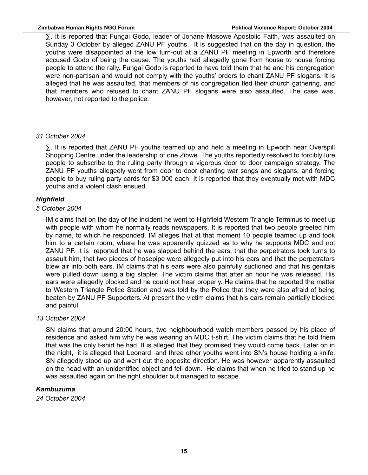#### **Zimbabwe Human Rights NGO Forum Political Violence Report: October 2004**

∑. It is reported that Fungai Godo, leader of Johane Masowe Apostolic Faith, was assaulted on Sunday 3 October by alleged ZANU PF youths. It is suggested that on the day in question, the youths were disappointed at the low turn-out at a ZANU PF meeting in Epworth and therefore accused Godo of being the cause. The youths had allegedly gone from house to house forcing people to attend the rally. Fungai Godo is reported to have told them that he and his congregation were non-partisan and would not comply with the youths' orders to chant ZANU PF slogans. It is alleged that he was assaulted, that members of his congregation fled their church gathering, and that members who refused to chant ZANU PF slogans were also assaulted. The case was, however, not reported to the police.

#### *31 October 2004*

∑. It is reported that ZANU PF youths teamed up and held a meeting in Epworth near Overspill Shopping Centre under the leadership of one Zibwe. The youths reportedly resolved to forcibly lure people to subscribe to the ruling party through a vigorous door to door campaign strategy. The ZANU PF youths allegedly went from door to door chanting war songs and slogans, and forcing people to buy ruling party cards for \$3 000 each. It is reported that they eventually met with MDC youths and a violent clash ensued.

#### *Highfield*

#### *5 October 2004*

IM claims that on the day of the incident he went to Highfield Western Triangle Terminus to meet up with people with whom he normally reads newspapers. It is reported that two people greeted him by name, to which he responded. IM alleges that at that moment 10 people teamed up and took him to a certain room, where he was apparently quizzed as to why he supports MDC and not ZANU PF. It is reported that he was slapped behind the ears, that the perpetrators took turns to assault him, that two pieces of hosepipe were allegedly put into his ears and that the perpetrators blew air into both ears. IM claims that his ears were also painfully suctioned and that his genitals were pulled down using a big stapler. The victim claims that after an hour he was released. His ears were allegedly blocked and he could not hear properly. He claims that he reported the matter to Western Triangle Police Station and was told by the Police that they were also afraid of being beaten by ZANU PF Supporters. At present the victim claims that his ears remain partially blocked and painful.

#### *13 October 2004*

SN claims that around 20:00 hours, two neighbourhood watch members passed by his place of residence and asked him why he was wearing an MDC t-shirt. The victim claims that he told them that was the only t-shirt he had. It is alleged that they promised they would come back. Later on in the night, it is alleged that Leonard and three other youths went into SN's house holding a knife. SN allegedly stood up and went out the opposite direction. He was however apparently assaulted on the head with an unidentified object and fell down. He claims that when he tried to stand up he was assaulted again on the right shoulder but managed to escape.

#### *Kambuzuma*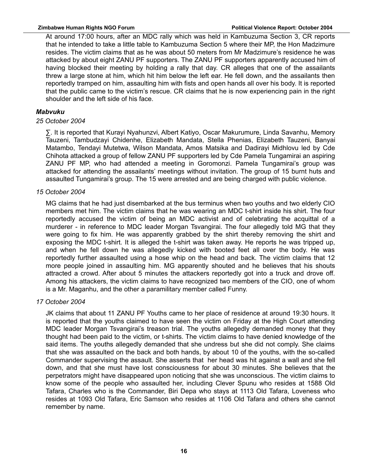#### **Zimbabwe Human Rights NGO Forum Political Violence Report: October 2004**

At around 17:00 hours, after an MDC rally which was held in Kambuzuma Section 3, CR reports that he intended to take a little table to Kambuzuma Section 5 where their MP, the Hon Madzimure resides. The victim claims that as he was about 50 meters from Mr Madzimure's residence he was attacked by about eight ZANU PF supporters. The ZANU PF supporters apparently accused him of having blocked their meeting by holding a rally that day. CR alleges that one of the assailants threw a large stone at him, which hit him below the left ear. He fell down, and the assailants then reportedly tramped on him, assaulting him with fists and open hands all over his body. It is reported that the public came to the victim's rescue. CR claims that he is now experiencing pain in the right shoulder and the left side of his face.

#### *Mabvuku*

#### *25 October 2004*

∑. It is reported that Kurayi Nyahunzvi, Albert Katiyo, Oscar Makurumure, Linda Savanhu, Memory Tauzeni, Tambudzayi Chidenhe, Elizabeth Mandata, Stella Phenias, Elizabeth Tauzeni, Banyai Matambo, Tendayi Mutetwa, Wilson Mandata, Amos Matsika and Dadirayi Midhlovu led by Cde Chihota attacked a group of fellow ZANU PF supporters led by Cde Pamela Tungamirai an aspiring ZANU PF MP, who had attended a meeting in Goromonzi. Pamela Tungamirai's group was attacked for attending the assailants' meetings without invitation. The group of 15 burnt huts and assaulted Tungamirai's group. The 15 were arrested and are being charged with public violence.

#### *15 October 2004*

MG claims that he had just disembarked at the bus terminus when two youths and two elderly CIO members met him. The victim claims that he was wearing an MDC t-shirt inside his shirt. The four reportedly accused the victim of being an MDC activist and of celebrating the acquittal of a murderer - in reference to MDC leader Morgan Tsvangirai. The four allegedly told MG that they were going to fix him. He was apparently grabbed by the shirt thereby removing the shirt and exposing the MDC t-shirt. It is alleged the t-shirt was taken away. He reports he was tripped up, and when he fell down he was allegedly kicked with booted feet all over the body. He was reportedly further assaulted using a hose whip on the head and back. The victim claims that 12 more people joined in assaulting him. MG apparently shouted and he believes that his shouts attracted a crowd. After about 5 minutes the attackers reportedly got into a truck and drove off. Among his attackers, the victim claims to have recognized two members of the CIO, one of whom is a Mr. Maganhu, and the other a paramilitary member called Funny.

#### *17 October 2004*

JK claims that about 11 ZANU PF Youths came to her place of residence at around 19:30 hours. It is reported that the youths claimed to have seen the victim on Friday at the High Court attending MDC leader Morgan Tsvangirai's treason trial. The youths allegedly demanded money that they thought had been paid to the victim, or t-shirts. The victim claims to have denied knowledge of the said items. The youths allegedly demanded that she undress but she did not comply. She claims that she was assaulted on the back and both hands, by about 10 of the youths, with the so-called Commander supervising the assault. She asserts that her head was hit against a wall and she fell down, and that she must have lost consciousness for about 30 minutes. She believes that the perpetrators might have disappeared upon noticing that she was unconscious. The victim claims to know some of the people who assaulted her, including Clever Spunu who resides at 1588 Old Tafara, Charles who is the Commander, Biri Depa who stays at 1113 Old Tafara, Loveness who resides at 1093 Old Tafara, Eric Samson who resides at 1106 Old Tafara and others she cannot remember by name.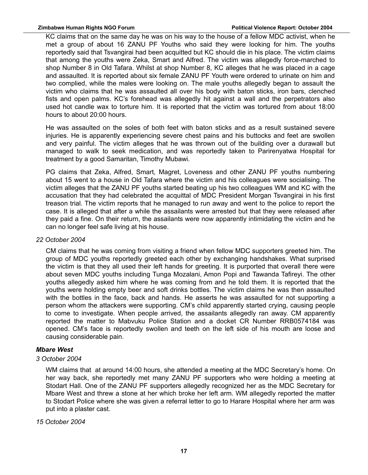KC claims that on the same day he was on his way to the house of a fellow MDC activist, when he met a group of about 16 ZANU PF Youths who said they were looking for him. The youths reportedly said that Tsvangirai had been acquitted but KC should die in his place. The victim claims that among the youths were Zeka, Smart and Alfred. The victim was allegedly force-marched to shop Number 8 in Old Tafara. Whilst at shop Number 8, KC alleges that he was placed in a cage and assaulted. It is reported about six female ZANU PF Youth were ordered to urinate on him and two complied, while the males were looking on. The male youths allegedly began to assault the victim who claims that he was assaulted all over his body with baton sticks, iron bars, clenched fists and open palms. KC's forehead was allegedly hit against a wall and the perpetrators also used hot candle wax to torture him. It is reported that the victim was tortured from about 18:00 hours to about 20:00 hours.

He was assaulted on the soles of both feet with baton sticks and as a result sustained severe injuries. He is apparently experiencing severe chest pains and his buttocks and feet are swollen and very painful. The victim alleges that he was thrown out of the building over a durawall but managed to walk to seek medication, and was reportedly taken to Parirenyatwa Hospital for treatment by a good Samaritan, Timothy Mubawi.

PG claims that Zeka, Alfred, Smart, Magret, Loveness and other ZANU PF youths numbering about 15 went to a house in Old Tafara where the victim and his colleagues were socialising. The victim alleges that the ZANU PF youths started beating up his two colleagues WM and KC with the accusation that they had celebrated the acquittal of MDC President Morgan Tsvangirai in his first treason trial. The victim reports that he managed to run away and went to the police to report the case. It is alleged that after a while the assailants were arrested but that they were released after they paid a fine. On their return, the assailants were now apparently intimidating the victim and he can no longer feel safe living at his house.

#### *22 October 2004*

CM claims that he was coming from visiting a friend when fellow MDC supporters greeted him. The group of MDC youths reportedly greeted each other by exchanging handshakes. What surprised the victim is that they all used their left hands for greeting. It is purported that overall there were about seven MDC youths including Tunga Mozalani, Amon Popi and Tawanda Tafireyi. The other youths allegedly asked him where he was coming from and he told them. It is reported that the youths were holding empty beer and soft drinks bottles. The victim claims he was then assaulted with the bottles in the face, back and hands. He asserts he was assaulted for not supporting a person whom the attackers were supporting. CM's child apparently started crying, causing people to come to investigate. When people arrived, the assailants allegedly ran away. CM apparently reported the matter to Mabvuku Police Station and a docket CR Number RRB0574184 was opened. CM's face is reportedly swollen and teeth on the left side of his mouth are loose and causing considerable pain.

#### *Mbare West*

#### *3 October 2004*

WM claims that at around 14:00 hours, she attended a meeting at the MDC Secretary's home. On her way back, she reportedly met many ZANU PF supporters who were holding a meeting at Stodart Hall. One of the ZANU PF supporters allegedly recognized her as the MDC Secretary for Mbare West and threw a stone at her which broke her left arm. WM allegedly reported the matter to Stodart Police where she was given a referral letter to go to Harare Hospital where her arm was put into a plaster cast.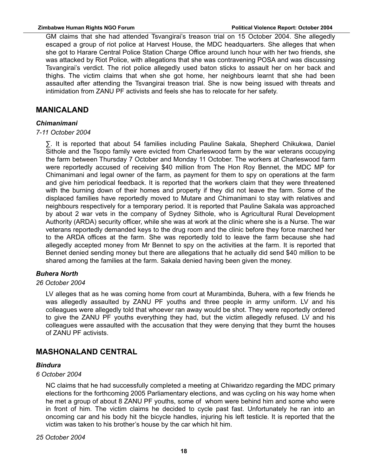GM claims that she had attended Tsvangirai's treason trial on 15 October 2004. She allegedly escaped a group of riot police at Harvest House, the MDC headquarters. She alleges that when she got to Harare Central Police Station Charge Office around lunch hour with her two friends, she was attacked by Riot Police, with allegations that she was contravening POSA and was discussing Tsvangirai's verdict. The riot police allegedly used baton sticks to assault her on her back and thighs. The victim claims that when she got home, her neighbours learnt that she had been assaulted after attending the Tsvangirai treason trial. She is now being issued with threats and intimidation from ZANU PF activists and feels she has to relocate for her safety.

#### **MANICALAND**

#### *Chimanimani*

#### *7-11 October 2004*

∑. It is reported that about 54 families including Pauline Sakala, Shepherd Chikukwa, Daniel Sithole and the Tsopo family were evicted from Charleswood farm by the war veterans occupying the farm between Thursday 7 October and Monday 11 October. The workers at Charleswood farm were reportedly accused of receiving \$40 million from The Hon Roy Bennet, the MDC MP for Chimanimani and legal owner of the farm, as payment for them to spy on operations at the farm and give him periodical feedback. It is reported that the workers claim that they were threatened with the burning down of their homes and property if they did not leave the farm. Some of the displaced families have reportedly moved to Mutare and Chimanimani to stay with relatives and neighbours respectively for a temporary period. It is reported that Pauline Sakala was approached by about 2 war vets in the company of Sydney Sithole, who is Agricultural Rural Development Authority (ARDA) security officer, while she was at work at the clinic where she is a Nurse. The war veterans reportedly demanded keys to the drug room and the clinic before they force marched her to the ARDA offices at the farm. She was reportedly told to leave the farm because she had allegedly accepted money from Mr Bennet to spy on the activities at the farm. It is reported that Bennet denied sending money but there are allegations that he actually did send \$40 million to be shared among the families at the farm. Sakala denied having been given the money.

#### *Buhera North*

#### *26 October 2004*

LV alleges that as he was coming home from court at Murambinda, Buhera, with a few friends he was allegedly assaulted by ZANU PF youths and three people in army uniform. LV and his colleagues were allegedly told that whoever ran away would be shot. They were reportedly ordered to give the ZANU PF youths everything they had, but the victim allegedly refused. LV and his colleagues were assaulted with the accusation that they were denying that they burnt the houses of ZANU PF activists.

### **MASHONALAND CENTRAL**

#### *Bindura*

#### *6 October 2004*

NC claims that he had successfully completed a meeting at Chiwaridzo regarding the MDC primary elections for the forthcoming 2005 Parliamentary elections, and was cycling on his way home when he met a group of about 8 ZANU PF youths, some of whom were behind him and some who were in front of him. The victim claims he decided to cycle past fast. Unfortunately he ran into an oncoming car and his body hit the bicycle handles, injuring his left testicle. It is reported that the victim was taken to his brother's house by the car which hit him.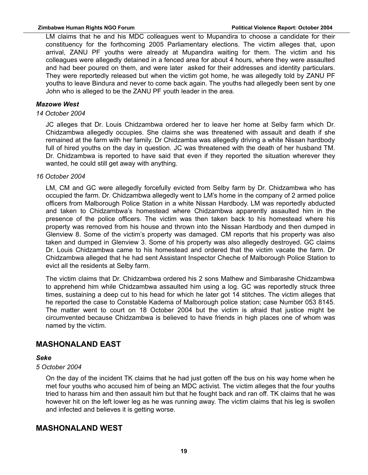LM claims that he and his MDC colleagues went to Mupandira to choose a candidate for their constituency for the forthcoming 2005 Parliamentary elections. The victim alleges that, upon arrival, ZANU PF youths were already at Mupandira waiting for them. The victim and his colleagues were allegedly detained in a fenced area for about 4 hours, where they were assaulted and had beer poured on them, and were later asked for their addresses and identity particulars. They were reportedly released but when the victim got home, he was allegedly told by ZANU PF youths to leave Bindura and never to come back again. The youths had allegedly been sent by one John who is alleged to be the ZANU PF youth leader in the area.

#### *Mazowe West*

#### *14 October 2004*

JC alleges that Dr. Louis Chidzambwa ordered her to leave her home at Selby farm which Dr. Chidzambwa allegedly occupies. She claims she was threatened with assault and death if she remained at the farm with her family. Dr Chidzamba was allegedly driving a white Nissan hardbody full of hired youths on the day in question. JC was threatened with the death of her husband TM. Dr. Chidzambwa is reported to have said that even if they reported the situation wherever they wanted, he could still get away with anything.

#### *16 October 2004*

LM, CM and GC were allegedly forcefully evicted from Selby farm by Dr. Chidzambwa who has occupied the farm. Dr. Chidzambwa allegedly went to LM's home in the company of 2 armed police officers from Malborough Police Station in a white Nissan Hardbody. LM was reportedly abducted and taken to Chidzambwa's homestead where Chidzambwa apparently assaulted him in the presence of the police officers. The victim was then taken back to his homestead where his property was removed from his house and thrown into the Nissan Hardbody and then dumped in Glenview 8. Some of the victim's property was damaged. CM reports that his property was also taken and dumped in Glenview 3. Some of his property was also allegedly destroyed. GC claims Dr. Louis Chidzambwa came to his homestead and ordered that the victim vacate the farm. Dr Chidzambwa alleged that he had sent Assistant Inspector Cheche of Malborough Police Station to evict all the residents at Selby farm.

The victim claims that Dr. Chidzambwa ordered his 2 sons Mathew and Simbarashe Chidzambwa to apprehend him while Chidzambwa assaulted him using a log. GC was reportedly struck three times, sustaining a deep cut to his head for which he later got 14 stitches. The victim alleges that he reported the case to Constable Kadema of Malborough police station; case Number 053 8145. The matter went to court on 18 October 2004 but the victim is afraid that justice might be circumvented because Chidzambwa is believed to have friends in high places one of whom was named by the victim.

### **MASHONALAND EAST**

#### *Seke*

#### *5 October 2004*

On the day of the incident TK claims that he had just gotten off the bus on his way home when he met four youths who accused him of being an MDC activist. The victim alleges that the four youths tried to harass him and then assault him but that he fought back and ran off. TK claims that he was however hit on the left lower leg as he was running away. The victim claims that his leg is swollen and infected and believes it is getting worse.

#### **MASHONALAND WEST**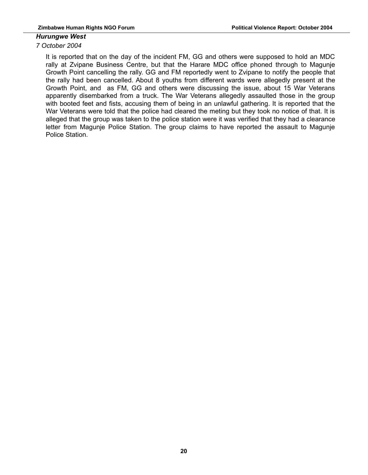#### *Hurungwe West*

#### *7 October 2004*

It is reported that on the day of the incident FM, GG and others were supposed to hold an MDC rally at Zvipane Business Centre, but that the Harare MDC office phoned through to Magunje Growth Point cancelling the rally. GG and FM reportedly went to Zvipane to notify the people that the rally had been cancelled. About 8 youths from different wards were allegedly present at the Growth Point, and as FM, GG and others were discussing the issue, about 15 War Veterans apparently disembarked from a truck. The War Veterans allegedly assaulted those in the group with booted feet and fists, accusing them of being in an unlawful gathering. It is reported that the War Veterans were told that the police had cleared the meting but they took no notice of that. It is alleged that the group was taken to the police station were it was verified that they had a clearance letter from Magunje Police Station. The group claims to have reported the assault to Magunje Police Station.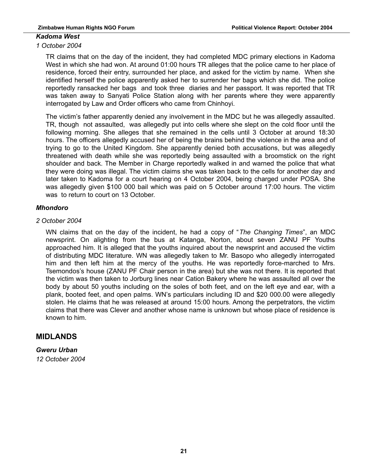#### *Kadoma West*

#### *1 October 2004*

TR claims that on the day of the incident, they had completed MDC primary elections in Kadoma West in which she had won. At around 01:00 hours TR alleges that the police came to her place of residence, forced their entry, surrounded her place, and asked for the victim by name. When she identified herself the police apparently asked her to surrender her bags which she did. The police reportedly ransacked her bags and took three diaries and her passport. It was reported that TR was taken away to Sanyati Police Station along with her parents where they were apparently interrogated by Law and Order officers who came from Chinhoyi.

The victim's father apparently denied any involvement in the MDC but he was allegedly assaulted. TR, though not assaulted, was allegedly put into cells where she slept on the cold floor until the following morning. She alleges that she remained in the cells until 3 October at around 18:30 hours. The officers allegedly accused her of being the brains behind the violence in the area and of trying to go to the United Kingdom. She apparently denied both accusations, but was allegedly threatened with death while she was reportedly being assaulted with a broomstick on the right shoulder and back. The Member in Charge reportedly walked in and warned the police that what they were doing was illegal. The victim claims she was taken back to the cells for another day and later taken to Kadoma for a court hearing on 4 October 2004, being charged under POSA. She was allegedly given \$100 000 bail which was paid on 5 October around 17:00 hours. The victim was to return to court on 13 October.

#### *Mhondoro*

#### *2 October 2004*

WN claims that on the day of the incident, he had a copy of "*The Changing Times*", an MDC newsprint. On alighting from the bus at Katanga, Norton, about seven ZANU PF Youths approached him. It is alleged that the youths inquired about the newsprint and accused the victim of distributing MDC literature. WN was allegedly taken to Mr. Basopo who allegedly interrogated him and then left him at the mercy of the youths. He was reportedly force-marched to Mrs. Tsemondos's house (ZANU PF Chair person in the area) but she was not there. It is reported that the victim was then taken to Jorburg lines near Cation Bakery where he was assaulted all over the body by about 50 youths including on the soles of both feet, and on the left eye and ear, with a plank, booted feet, and open palms. WN's particulars including ID and \$20 000.00 were allegedly stolen. He claims that he was released at around 15:00 hours. Among the perpetrators, the victim claims that there was Clever and another whose name is unknown but whose place of residence is known to him.

### **MIDLANDS**

*Gweru Urban 12 October 2004*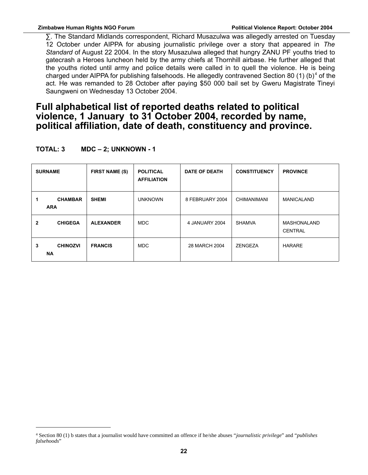∑. The Standard Midlands correspondent, Richard Musazulwa was allegedly arrested on Tuesday 12 October under AIPPA for abusing journalistic privilege over a story that appeared in *The Standard* of August 22 2004. In the story Musazulwa alleged that hungry ZANU PF youths tried to gatecrash a Heroes luncheon held by the army chiefs at Thornhill airbase. He further alleged that the youths rioted until army and police details were called in to quell the violence. He is being charged under AIPPA for publishing falsehoods. He allegedly contravened Section 80 (1) (b)<sup>[4](#page-21-0)</sup> of the act. He was remanded to 28 October after paying \$50 000 bail set by Gweru Magistrate Tineyi Saungweni on Wednesday 13 October 2004.

## **Full alphabetical list of reported deaths related to political violence, 1 January to 31 October 2004, recorded by name, political affiliation, date of death, constituency and province.**

| <b>SURNAME</b> |                              | <b>FIRST NAME (S)</b> | <b>POLITICAL</b><br><b>AFFILIATION</b> | <b>DATE OF DEATH</b> | <b>CONSTITUENCY</b> | <b>PROVINCE</b>               |
|----------------|------------------------------|-----------------------|----------------------------------------|----------------------|---------------------|-------------------------------|
| 1              | <b>CHAMBAR</b><br><b>ARA</b> | <b>SHEMI</b>          | <b>UNKNOWN</b>                         | 8 FEBRUARY 2004      | <b>CHIMANIMANI</b>  | <b>MANICALAND</b>             |
| $\mathbf{2}$   | <b>CHIGEGA</b>               | <b>ALEXANDER</b>      | <b>MDC</b>                             | 4 JANUARY 2004       | <b>SHAMVA</b>       | MASHONALAND<br><b>CENTRAL</b> |
| 3              | <b>CHINOZVI</b><br><b>NA</b> | <b>FRANCIS</b>        | <b>MDC</b>                             | 28 MARCH 2004        | ZENGEZA             | <b>HARARE</b>                 |

**TOTAL: 3 MDC – 2; UNKNOWN - 1**

<span id="page-21-0"></span><sup>4</sup> Section 80 (1) b states that a journalist would have committed an offence if he/she abuses "*journalistic privilege*" and "*publishes falsehoods*"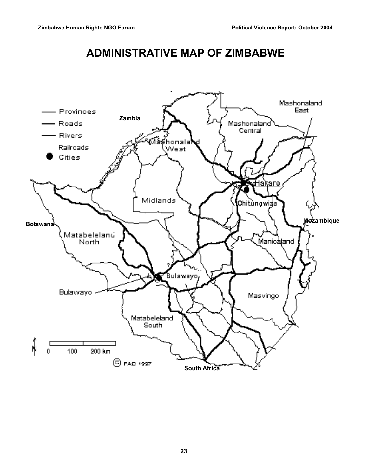# **ADMINISTRATIVE MAP OF ZIMBABWE**